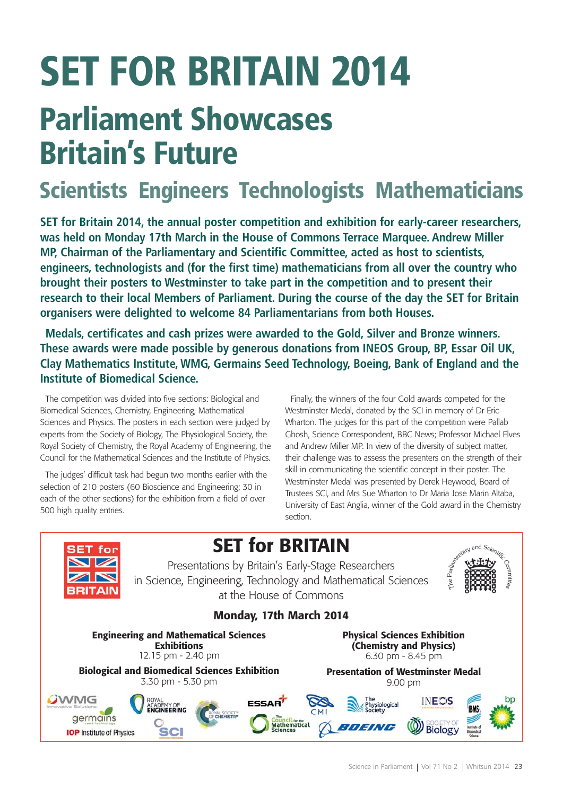# **SET FOR BRITAIN 2014 Parliament Showcases Britain's Future**

# **Scientists Engineers Technologists Mathematicians**

**SET for Britain 2014, the annual poster competition and exhibition for early-career researchers, was held on Monday 17th March in the House of Commons Terrace Marquee. Andrew Miller MP, Chairman of the Parliamentary and Scientific Committee, acted as host to scientists, engineers, technologists and (for the first time) mathematicians from all over the country who brought their posters to Westminster to take part in the competition and to present their research to their local Members of Parliament. During the course of the day the SET for Britain organisers were delighted to welcome 84 Parliamentarians from both Houses.**

**Medals, certificates and cash prizes were awarded to the Gold, Silver and Bronze winners. These awards were made possible by generous donations from INEOS Group, BP, Essar Oil UK, Clay Mathematics Institute, WMG, Germains Seed Technology, Boeing, Bank of England and the Institute of Biomedical Science.**

The competition was divided into five sections: Biological and Biomedical Sciences, Chemistry, Engineering, Mathematical Sciences and Physics. The posters in each section were judged by experts from the Society of Biology, The Physiological Society, the Royal Society of Chemistry, the Royal Academy of Engineering, the Council for the Mathematical Sciences and the Institute of Physics.

The judges' difficult task had begun two months earlier with the selection of 210 posters (60 Bioscience and Engineering; 30 in each of the other sections) for the exhibition from a field of over 500 high quality entries.

Finally, the winners of the four Gold awards competed for the Westminster Medal, donated by the SCI in memory of Dr Eric Wharton. The judges for this part of the competition were Pallab Ghosh, Science Correspondent, BBC News; Professor Michael Elves and Andrew Miller MP. In view of the diversity of subject matter, their challenge was to assess the presenters on the strength of their skill in communicating the scientific concept in their poster. The Westminster Medal was presented by Derek Heywood, Board of Trustees SCI, and Mrs Sue Wharton to Dr Maria Jose Marin Altaba, University of East Anglia, winner of the Gold award in the Chemistry section.

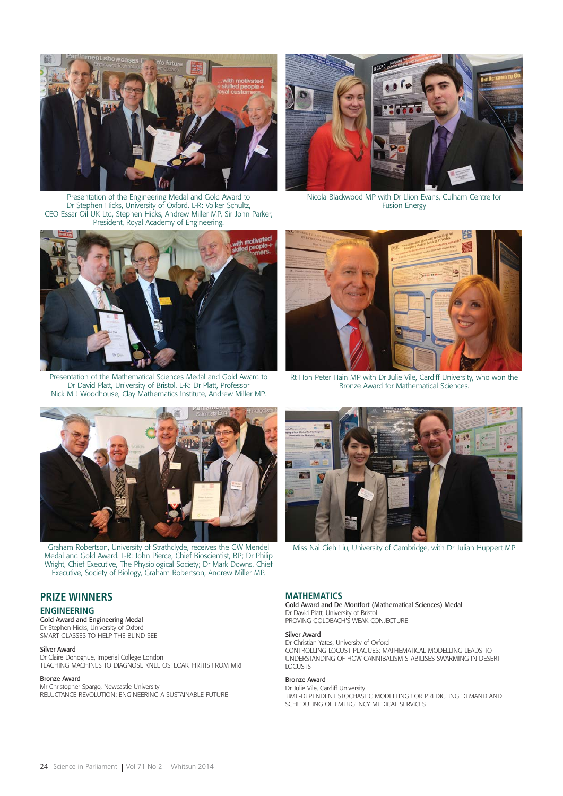

Presentation of the Engineering Medal and Gold Award to Dr Stephen Hicks, University of Oxford. L-R: Volker Schultz, CEO Essar Oil UK Ltd, Stephen Hicks, Andrew Miller MP, Sir John Parker, President, Royal Academy of Engineering.



Nicola Blackwood MP with Dr Llion Evans, Culham Centre for Fusion Energy



Presentation of the Mathematical Sciences Medal and Gold Award to Dr David Platt, University of Bristol. L-R: Dr Platt, Professor Nick M J Woodhouse, Clay Mathematics Institute, Andrew Miller MP.



Rt Hon Peter Hain MP with Dr Julie Vile, Cardiff University, who won the Bronze Award for Mathematical Sciences.



Graham Robertson, University of Strathclyde, receives the GW Mendel Medal and Gold Award. L-R: John Pierce, Chief Bioscientist, BP; Dr Philip Wright, Chief Executive, The Physiological Society; Dr Mark Downs, Chief Executive, Society of Biology, Graham Robertson, Andrew Miller MP.

# **PRIZE WINNERS**

# **ENGINEERING**

Gold Award and Engineering Medal Dr Stephen Hicks, University of Oxford SMART GLASSES TO HELP THE BLIND SEE

#### Silver Award

Dr Claire Donoghue, Imperial College London TEACHING MACHINES TO DIAGNOSE KNEE OSTEOARTHRITIS FROM MRI

### Bronze Award

Mr Christopher Spargo, Newcastle University RELUCTANCE REVOLUTION: ENGINEERING A SUSTAINABLE FUTURE



Miss Nai Cieh Liu, University of Cambridge, with Dr Julian Huppert MP

# **MATHEMATICS**

Gold Award and De Montfort (Mathematical Sciences) Medal Dr David Platt, University of Bristol PROVING GOLDBACH'S WEAK CONJECTURE

#### Silver Award

Dr Christian Yates, University of Oxford CONTROLLING LOCUST PLAGUES: MATHEMATICAL MODELLING LEADS TO UNDERSTANDING OF HOW CANNIBALISM STABILISES SWARMING IN DESERT **LOCUSTS** 

# Bronze Award

Dr Julie Vile, Cardiff University TIME-DEPENDENT STOCHASTIC MODELLING FOR PREDICTING DEMAND AND SCHEDULING OF EMERGENCY MEDICAL SERVICES